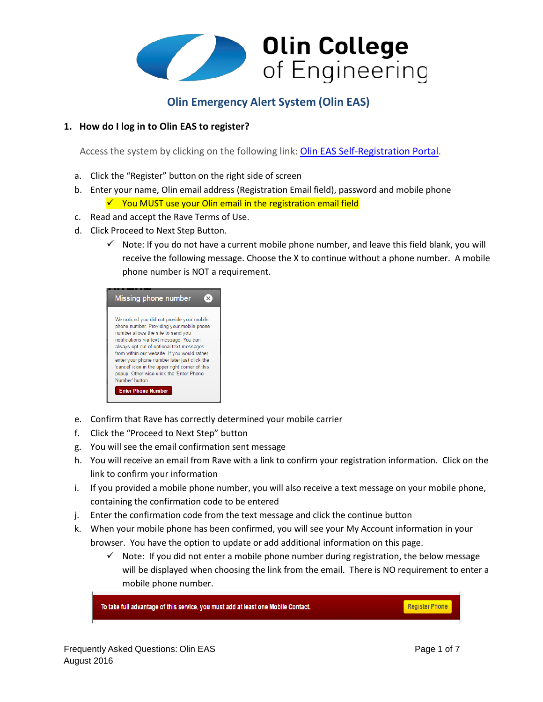

# **Olin Emergency Alert System (Olin EAS)**

# **1. How do I log in to Olin EAS to register?**

Access the system by clicking on the following link: Olin EAS [Self-Registration Portal.](https://www.getrave.com/login/Olin)

- a. Click the "Register" button on the right side of screen
- b. Enter your name, Olin email address (Registration Email field), password and mobile phone  $\checkmark$  You MUST use your Olin email in the registration email field
- c. Read and accept the Rave Terms of Use.
- d. Click Proceed to Next Step Button.
	- $\checkmark$  Note: If you do not have a current mobile phone number, and leave this field blank, you will receive the following message. Choose the X to continue without a phone number. A mobile phone number is NOT a requirement.

| <b>Missing phone number</b>                                                                                                                                                                                                                                                                                                                                                                                                                                        |
|--------------------------------------------------------------------------------------------------------------------------------------------------------------------------------------------------------------------------------------------------------------------------------------------------------------------------------------------------------------------------------------------------------------------------------------------------------------------|
| We noticed you did not provide your mobile<br>phone number. Providing your mobile phone<br>number allows the site to send you<br>notifications via text message. You can<br>always opt-out of optional text messages<br>from within our website. If you would rather<br>enter your phone number later just click the<br>'cancel' icon in the upper right corner of this<br>popup. Other wise click the 'Enter Phone<br>Number' button<br><b>Enter Phone Number</b> |

- e. Confirm that Rave has correctly determined your mobile carrier
- f. Click the "Proceed to Next Step" button
- g. You will see the email confirmation sent message
- h. You will receive an email from Rave with a link to confirm your registration information. Click on the link to confirm your information
- i. If you provided a mobile phone number, you will also receive a text message on your mobile phone, containing the confirmation code to be entered
- j. Enter the confirmation code from the text message and click the continue button
- k. When your mobile phone has been confirmed, you will see your My Account information in your browser. You have the option to update or add additional information on this page.
	- $\checkmark$  Note: If you did not enter a mobile phone number during registration, the below message will be displayed when choosing the link from the email. There is NO requirement to enter a mobile phone number.

To take full advantage of this service, you must add at least one Mobile Contact.

**Register Phone**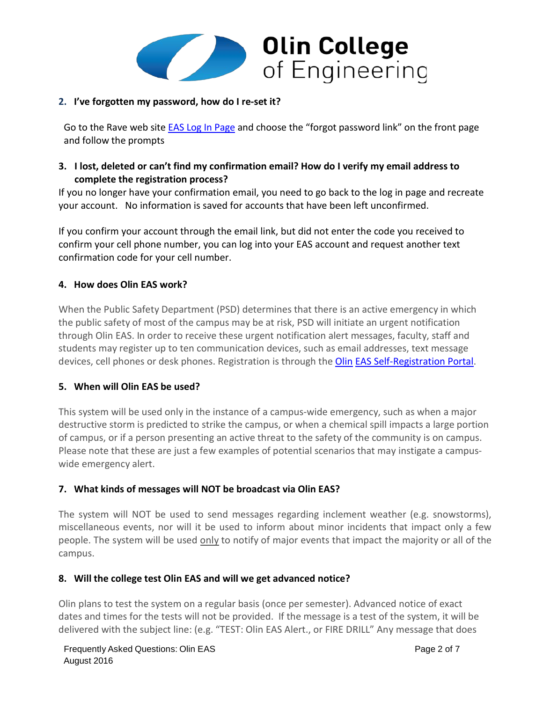

# **2. I've forgotten my password, how do I re-set it?**

Go to the Rave web sit[e EAS Log In Page](https://www.getrave.com/login/Olin) and choose the "forgot password link" on the front page and follow the prompts

# **3. I lost, deleted or can't find my confirmation email? How do I verify my email address to complete the registration process?**

If you no longer have your confirmation email, you need to go back to the log in page and recreate your account. No information is saved for accounts that have been left unconfirmed.

If you confirm your account through the email link, but did not enter the code you received to confirm your cell phone number, you can log into your EAS account and request another text confirmation code for your cell number.

# **4. How does Olin EAS work?**

When the Public Safety Department (PSD) determines that there is an active emergency in which the public safety of most of the campus may be at risk, PSD will initiate an urgent notification through Olin EAS. In order to receive these urgent notification alert messages, faculty, staff and students may register up to ten communication devices, such as email addresses, text message devices, cell phones or desk phones. Registration is through the [Olin](https://olin.sendwordnow.com/HomePage.aspx) EAS [Self-Registration Portal.](https://olin.sendwordnow.com/HomePage.aspx)

#### **5. When will Olin EAS be used?**

This system will be used only in the instance of a campus-wide emergency, such as when a major destructive storm is predicted to strike the campus, or when a chemical spill impacts a large portion of campus, or if a person presenting an active threat to the safety of the community is on campus. Please note that these are just a few examples of potential scenarios that may instigate a campuswide emergency alert.

# **7. What kinds of messages will NOT be broadcast via Olin EAS?**

The system will NOT be used to send messages regarding inclement weather (e.g. snowstorms), miscellaneous events, nor will it be used to inform about minor incidents that impact only a few people. The system will be used only to notify of major events that impact the majority or all of the campus.

#### **8. Will the college test Olin EAS and will we get advanced notice?**

Olin plans to test the system on a regular basis (once per semester). Advanced notice of exact dates and times for the tests will not be provided. If the message is a test of the system, it will be delivered with the subject line: (e.g. "TEST: Olin EAS Alert., or FIRE DRILL" Any message that does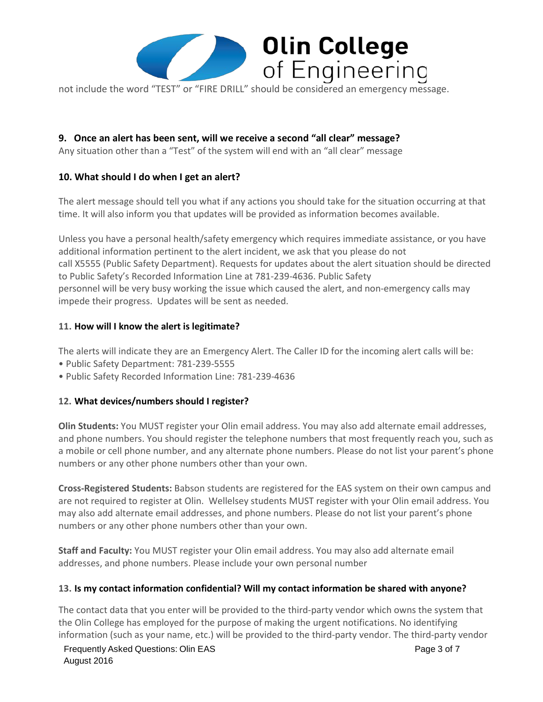

not include the word "TEST" or "FIRE DRILL" should be considered an emergency message.

# **9. Once an alert has been sent, will we receive a second "all clear" message?**

Any situation other than a "Test" of the system will end with an "all clear" message

#### **10. What should I do when I get an alert?**

The alert message should tell you what if any actions you should take for the situation occurring at that time. It will also inform you that updates will be provided as information becomes available.

Unless you have a personal health/safety emergency which requires immediate assistance, or you have additional information pertinent to the alert incident, we ask that you please do not call X5555 (Public Safety Department). Requests for updates about the alert situation should be directed to Public Safety's Recorded Information Line at 781-239-4636. Public Safety personnel will be very busy working the issue which caused the alert, and non-emergency calls may impede their progress. Updates will be sent as needed.

#### **11. How will I know the alert is legitimate?**

The alerts will indicate they are an Emergency Alert. The Caller ID for the incoming alert calls will be:

- Public Safety Department: 781-239-5555
- Public Safety Recorded Information Line: 781-239-4636

#### **12. What devices/numbers should I register?**

**Olin Students:** You MUST register your Olin email address. You may also add alternate email addresses, and phone numbers. You should register the telephone numbers that most frequently reach you, such as a mobile or cell phone number, and any alternate phone numbers. Please do not list your parent's phone numbers or any other phone numbers other than your own.

**Cross-Registered Students:** Babson students are registered for the EAS system on their own campus and are not required to register at Olin. Wellelsey students MUST register with your Olin email address. You may also add alternate email addresses, and phone numbers. Please do not list your parent's phone numbers or any other phone numbers other than your own.

**Staff and Faculty:** You MUST register your Olin email address. You may also add alternate email addresses, and phone numbers. Please include your own personal number

#### **13. Is my contact information confidential? Will my contact information be shared with anyone?**

The contact data that you enter will be provided to the third-party vendor which owns the system that the Olin College has employed for the purpose of making the urgent notifications. No identifying information (such as your name, etc.) will be provided to the third-party vendor. The third-party vendor